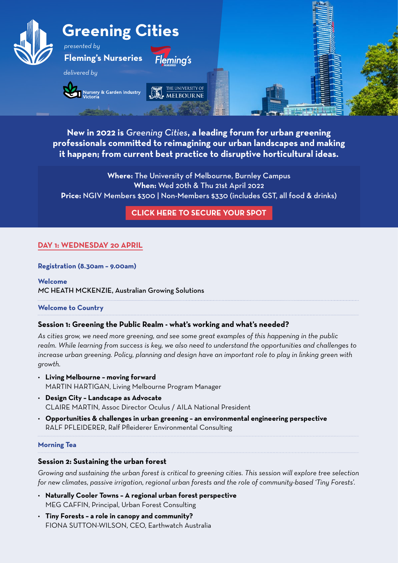

**New in 2022 is** *Greening Cities***, a leading forum for urban greening professionals committed to reimagining our urban landscapes and making it happen; from current best practice to disruptive horticultural ideas.**

**Where:** The University of Melbourne, Burnley Campus **When:** Wed 20th & Thu 21st April 2022 **Price:** NGIV Members \$300 | Non-Members \$330 (includes GST, all food & drinks)

**[CLICK HERE TO SECURE YOUR SPOT](https://www.ngiv.com.au/Shared_Content/Events/Event_Display.aspx?EventKey=EDU200422&WebsiteKey=a370c18e-f7ac-4a01-b46b-04c4f54d9dd4)**

# **DAY 1: WEDNESDAY 20 APRIL**

### **Registration (8.30am – 9.00am)**

**Welcome**  *MC* HEATH MCKENZIE, Australian Growing Solutions

**Welcome to Country**

### **Session 1: Greening the Public Realm - what's working and what's needed?**

*As cities grow, we need more greening, and see some great examples of this happening in the public realm. While learning from success is key, we also need to understand the opportunities and challenges to increase urban greening. Policy, planning and design have an important role to play in linking green with growth.*

- **Living Melbourne moving forward** MARTIN HARTIGAN, Living Melbourne Program Manager
- **Design City Landscape as Advocate** CLAIRE MARTIN, Assoc Director Oculus / AILA National President
- **Opportunities & challenges in urban greening an environmental engineering perspective** RALF PFLEIDERER, Ralf Pfleiderer Environmental Consulting

#### **Morning Tea**

### **Session 2: Sustaining the urban forest**

*Growing and sustaining the urban forest is critical to greening cities. This session will explore tree selection for new climates, passive irrigation, regional urban forests and the role of community-based 'Tiny Forests'.*

- **Naturally Cooler Towns A regional urban forest perspective**  MEG CAFFIN, Principal, Urban Forest Consulting
- **Tiny Forests a role in canopy and community?**  FIONA SUTTON-WILSON, CEO, Earthwatch Australia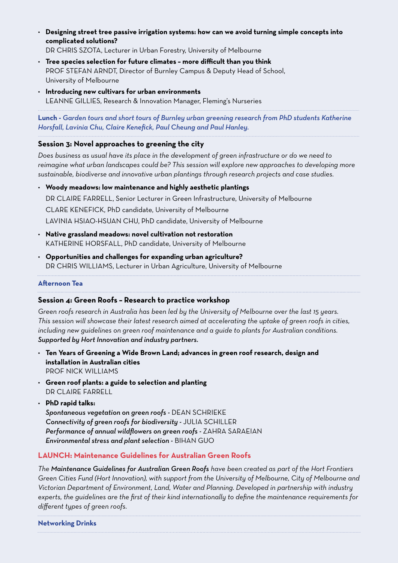• **Designing street tree passive irrigation systems: how can we avoid turning simple concepts into complicated solutions?** 

DR CHRIS SZOTA, Lecturer in Urban Forestry, University of Melbourne

- **Tree species selection for future climates more difficult than you think**  PROF STEFAN ARNDT, Director of Burnley Campus & Deputy Head of School, University of Melbourne
- **Introducing new cultivars for urban environments** LEANNE GILLIES, Research & Innovation Manager, Fleming's Nurseries

**Lunch -** *Garden tours and short tours of Burnley urban greening research from PhD students Katherine Horsfall, Lavinia Chu, Claire Kenefick, Paul Cheung and Paul Hanley.*

# **Session 3: Novel approaches to greening the city**

*Does business as usual have its place in the development of green infrastructure or do we need to reimagine what urban landscapes could be? This session will explore new approaches to developing more sustainable, biodiverse and innovative urban plantings through research projects and case studies.* 

- **Woody meadows: low maintenance and highly aesthetic plantings** DR CLAIRE FARRELL, Senior Lecturer in Green Infrastructure, University of Melbourne CLARE KENEFICK, PhD candidate, University of Melbourne LAVINIA HSIAO-HSUAN CHU, PhD candidate, University of Melbourne
- **Native grassland meadows: novel cultivation not restoration**  KATHERINE HORSFALL, PhD candidate, University of Melbourne
- **Opportunities and challenges for expanding urban agriculture?**  DR CHRIS WILLIAMS, Lecturer in Urban Agriculture, University of Melbourne

## **Afternoon Tea**

# **Session 4: Green Roofs – Research to practice workshop**

*Green roofs research in Australia has been led by the University of Melbourne over the last 15 years. This session will showcase their latest research aimed at accelerating the uptake of green roofs in cities, including new guidelines on green roof maintenance and a guide to plants for Australian conditions. Supported by Hort Innovation and industry partners.*

- **Ten Years of Greening a Wide Brown Land; advances in green roof research, design and installation in Australian cities** PROF NICK WILLIAMS
- **Green roof plants: a guide to selection and planting** DR CLAIRE FARRELL
- **PhD rapid talks:**

*Spontaneous vegetation on green roofs -* DEAN SCHRIEKE *Connectivity of green roofs for biodiversity -* JULIA SCHILLER *Performance of annual wildflowers on green roofs -* ZAHRA SARAEIAN *Environmental stress and plant selection -* BIHAN GUO

# **LAUNCH: Maintenance Guidelines for Australian Green Roofs**

*The Maintenance Guidelines for Australian Green Roofs have been created as part of the Hort Frontiers Green Cities Fund (Hort Innovation), with support from the University of Melbourne, City of Melbourne and Victorian Department of Environment, Land, Water and Planning. Developed in partnership with industry experts, the guidelines are the first of their kind internationally to define the maintenance requirements for different types of green roofs.*

**Networking Drinks**